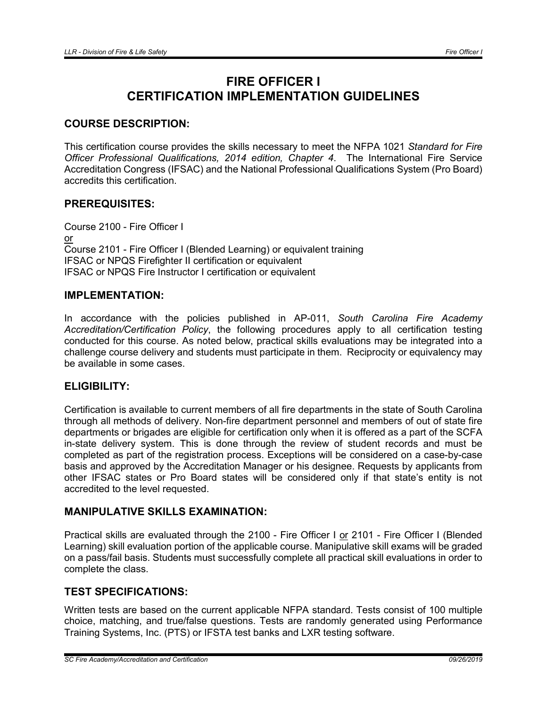# FIRE OFFICER I CERTIFICATION IMPLEMENTATION GUIDELINES

## COURSE DESCRIPTION:

This certification course provides the skills necessary to meet the NFPA 1021 *Standard for Fire Officer Professional Qualifications, 2014 edition, Chapter 4*. The International Fire Service Accreditation Congress (IFSAC) and the National Professional Qualifications System (Pro Board) accredits this certification.

## PREREQUISITES:

Course 2100 - Fire Officer I or Course 2101 - Fire Officer I (Blended Learning) or equivalent training IFSAC or NPQS Firefighter II certification or equivalent IFSAC or NPQS Fire Instructor I certification or equivalent

## IMPLEMENTATION:

In accordance with the policies published in AP-011, *South Carolina Fire Academy Accreditation/Certification Policy*, the following procedures apply to all certification testing conducted for this course. As noted below, practical skills evaluations may be integrated into a challenge course delivery and students must participate in them. Reciprocity or equivalency may be available in some cases.

## ELIGIBILITY:

Certification is available to current members of all fire departments in the state of South Carolina through all methods of delivery. Non-fire department personnel and members of out of state fire departments or brigades are eligible for certification only when it is offered as a part of the SCFA in-state delivery system. This is done through the review of student records and must be completed as part of the registration process. Exceptions will be considered on a case-by-case basis and approved by the Accreditation Manager or his designee. Requests by applicants from other IFSAC states or Pro Board states will be considered only if that state's entity is not accredited to the level requested.

# MANIPULATIVE SKILLS EXAMINATION:

Practical skills are evaluated through the 2100 - Fire Officer I or 2101 - Fire Officer I (Blended Learning) skill evaluation portion of the applicable course. Manipulative skill exams will be graded on a pass/fail basis. Students must successfully complete all practical skill evaluations in order to complete the class.

# TEST SPECIFICATIONS:

Written tests are based on the current applicable NFPA standard. Tests consist of 100 multiple choice, matching, and true/false questions. Tests are randomly generated using Performance Training Systems, Inc. (PTS) or IFSTA test banks and LXR testing software.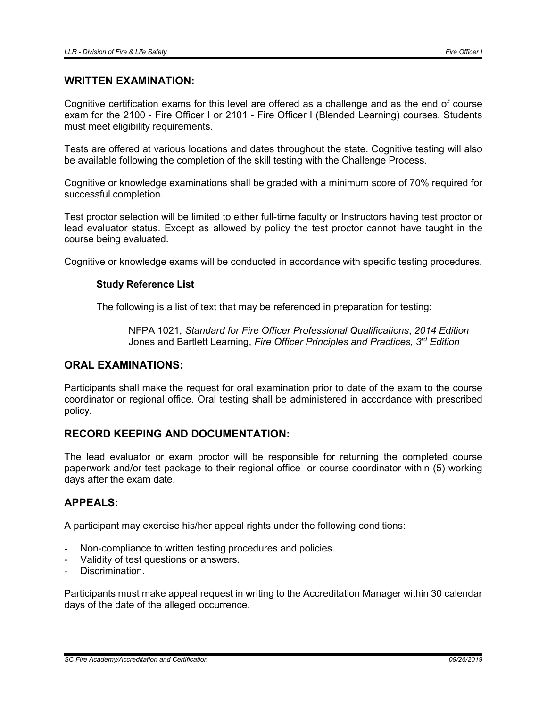#### WRITTEN EXAMINATION:

Cognitive certification exams for this level are offered as a challenge and as the end of course exam for the 2100 - Fire Officer I or 2101 - Fire Officer I (Blended Learning) courses. Students must meet eligibility requirements.

Tests are offered at various locations and dates throughout the state. Cognitive testing will also be available following the completion of the skill testing with the Challenge Process.

Cognitive or knowledge examinations shall be graded with a minimum score of 70% required for successful completion.

Test proctor selection will be limited to either full-time faculty or Instructors having test proctor or lead evaluator status. Except as allowed by policy the test proctor cannot have taught in the course being evaluated.

Cognitive or knowledge exams will be conducted in accordance with specific testing procedures.

#### Study Reference List

The following is a list of text that may be referenced in preparation for testing:

NFPA 1021, *Standard for Fire Officer Professional Qualifications*, *2014 Edition* Jones and Bartlett Learning, *Fire Officer Principles and Practices*, *3rd Edition*

# ORAL EXAMINATIONS:

Participants shall make the request for oral examination prior to date of the exam to the course coordinator or regional office. Oral testing shall be administered in accordance with prescribed policy.

# RECORD KEEPING AND DOCUMENTATION:

The lead evaluator or exam proctor will be responsible for returning the completed course paperwork and/or test package to their regional office or course coordinator within (5) working days after the exam date.

## APPEALS:

A participant may exercise his/her appeal rights under the following conditions:

- Non-compliance to written testing procedures and policies.
- Validity of test questions or answers.
- Discrimination.

Participants must make appeal request in writing to the Accreditation Manager within 30 calendar days of the date of the alleged occurrence.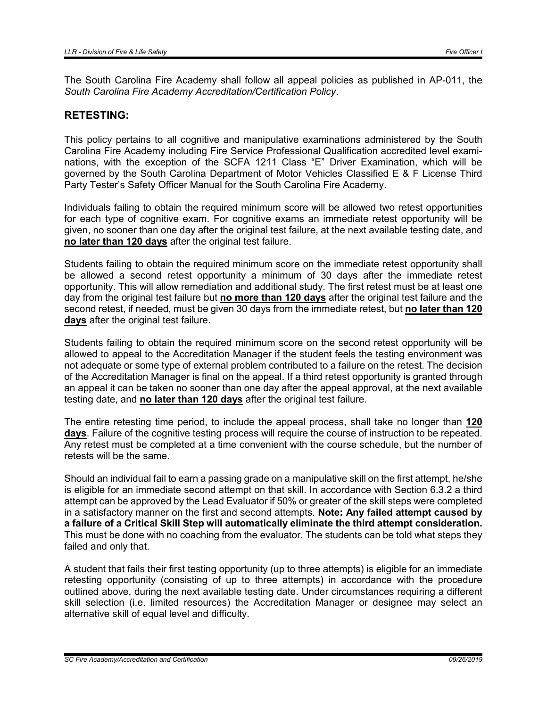The South Carolina Fire Academy shall follow all appeal policies as published in AP-011, the *South Carolina Fire Academy Accreditation/Certification Policy*.

#### RETESTING:

This policy pertains to all cognitive and manipulative examinations administered by the South Carolina Fire Academy including Fire Service Professional Qualification accredited level examinations, with the exception of the SCFA 1211 Class "E" Driver Examination, which will be governed by the South Carolina Department of Motor Vehicles Classified E & F License Third Party Tester's Safety Officer Manual for the South Carolina Fire Academy.

Individuals failing to obtain the required minimum score will be allowed two retest opportunities for each type of cognitive exam. For cognitive exams an immediate retest opportunity will be given, no sooner than one day after the original test failure, at the next available testing date, and no later than 120 days after the original test failure.

Students failing to obtain the required minimum score on the immediate retest opportunity shall be allowed a second retest opportunity a minimum of 30 days after the immediate retest opportunity. This will allow remediation and additional study. The first retest must be at least one day from the original test failure but no more than 120 days after the original test failure and the second retest, if needed, must be given 30 days from the immediate retest, but no later than 120 days after the original test failure.

Students failing to obtain the required minimum score on the second retest opportunity will be allowed to appeal to the Accreditation Manager if the student feels the testing environment was not adequate or some type of external problem contributed to a failure on the retest. The decision of the Accreditation Manager is final on the appeal. If a third retest opportunity is granted through an appeal it can be taken no sooner than one day after the appeal approval, at the next available testing date, and no later than 120 days after the original test failure.

The entire retesting time period, to include the appeal process, shall take no longer than 120 days. Failure of the cognitive testing process will require the course of instruction to be repeated. Any retest must be completed at a time convenient with the course schedule, but the number of retests will be the same.

Should an individual fail to earn a passing grade on a manipulative skill on the first attempt, he/she is eligible for an immediate second attempt on that skill. In accordance with Section 6.3.2 a third attempt can be approved by the Lead Evaluator if 50% or greater of the skill steps were completed in a satisfactory manner on the first and second attempts. Note: Any failed attempt caused by a failure of a Critical Skill Step will automatically eliminate the third attempt consideration. This must be done with no coaching from the evaluator. The students can be told what steps they failed and only that.

A student that fails their first testing opportunity (up to three attempts) is eligible for an immediate retesting opportunity (consisting of up to three attempts) in accordance with the procedure outlined above, during the next available testing date. Under circumstances requiring a different skill selection (i.e. limited resources) the Accreditation Manager or designee may select an alternative skill of equal level and difficulty.